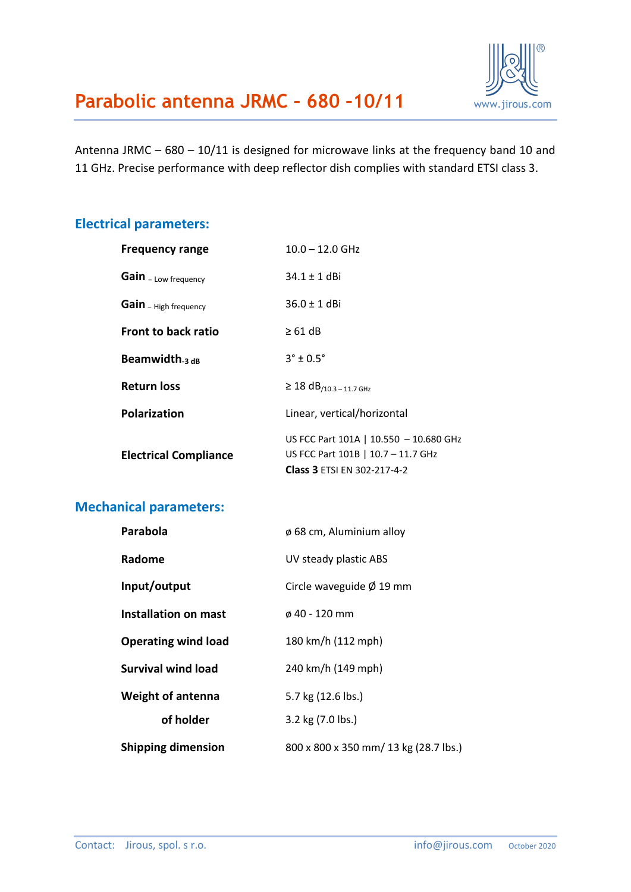

Antenna JRMC – 680 – 10/11 is designed for microwave links at the frequency band 10 and 11 GHz. Precise performance with deep reflector dish complies with standard ETSI class 3.

#### **Electrical parameters:**

| $10.0 - 12.0$ GHz                                                                                                  |  |
|--------------------------------------------------------------------------------------------------------------------|--|
| $34.1 \pm 1$ dBi                                                                                                   |  |
| $36.0 \pm 1$ dBi                                                                                                   |  |
| $\geq 61$ dB                                                                                                       |  |
| $3^{\circ}$ ± 0.5°                                                                                                 |  |
| $\geq$ 18 dB <sub>/10.3</sub> - 11.7 GHz                                                                           |  |
| Linear, vertical/horizontal                                                                                        |  |
| US FCC Part 101A   10.550 - 10.680 GHz<br>US FCC Part 101B   10.7 - 11.7 GHz<br><b>Class 3 ETSI EN 302-217-4-2</b> |  |
|                                                                                                                    |  |

## **Mechanical parameters:**

| Parabola                    | $\phi$ 68 cm, Aluminium alloy         |  |
|-----------------------------|---------------------------------------|--|
| Radome                      | UV steady plastic ABS                 |  |
| Input/output                | Circle waveguide $\varnothing$ 19 mm  |  |
| <b>Installation on mast</b> | ø 40 - 120 mm                         |  |
| <b>Operating wind load</b>  | 180 km/h (112 mph)                    |  |
| <b>Survival wind load</b>   | 240 km/h (149 mph)                    |  |
| <b>Weight of antenna</b>    | 5.7 kg (12.6 lbs.)                    |  |
| of holder                   | 3.2 kg (7.0 lbs.)                     |  |
| <b>Shipping dimension</b>   | 800 x 800 x 350 mm/ 13 kg (28.7 lbs.) |  |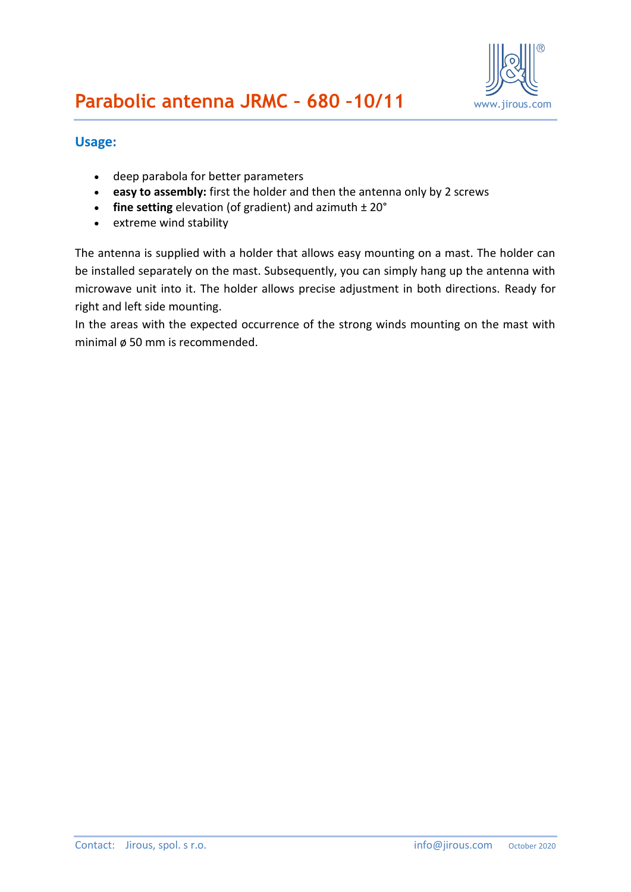

### **Usage:**

- deep parabola for better parameters
- **easy to assembly:** first the holder and then the antenna only by 2 screws
- **fine setting** elevation (of gradient) and azimuth  $\pm 20^{\circ}$
- extreme wind stability

The antenna is supplied with a holder that allows easy mounting on a mast. The holder can be installed separately on the mast. Subsequently, you can simply hang up the antenna with microwave unit into it. The holder allows precise adjustment in both directions. Ready for right and left side mounting.

In the areas with the expected occurrence of the strong winds mounting on the mast with minimal ø 50 mm is recommended.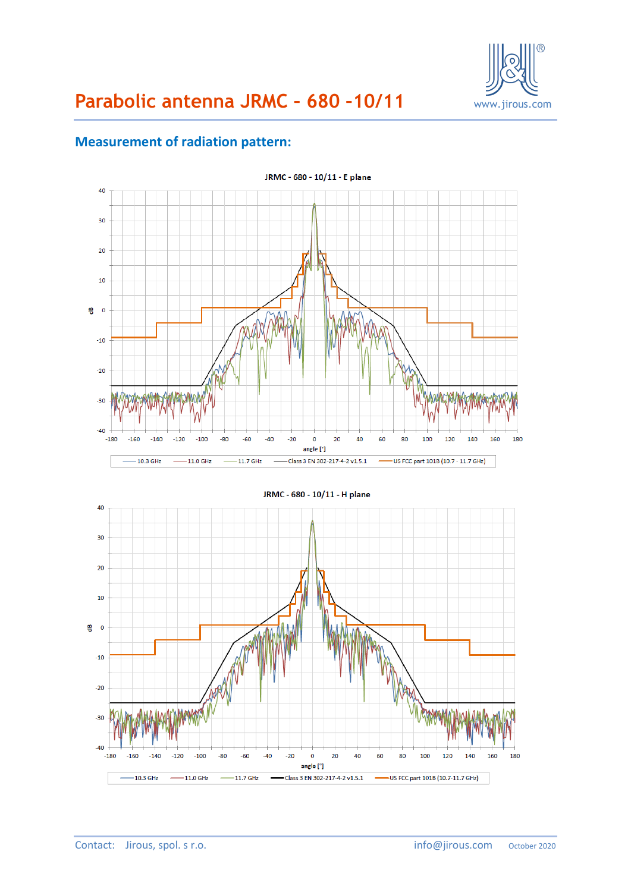

# **Parabolic antenna JRMC – 680 –10/11** www.jirous.com

## **Measurement of radiation pattern:**



 $-160$ 

 $-10.3$  GHz

 $-140$ 

 $-100$ 

 $-11.0$  GHz

 $-80$ 

 $-120$ 

 $-60$ 

 $-11.7$  GHz

 $-40$ 

 $\blacksquare$ 

 $-20$ 

 $\mathbf{0}$ 

angle [°]

Class 3 EN 302-217-4-2 v1.5.1

20

40

60

٠

80

100

-US FCC part 101B (10.7-11.7 GHz)

120

140

160

180

 $-30$ 

 $-40$  $-180$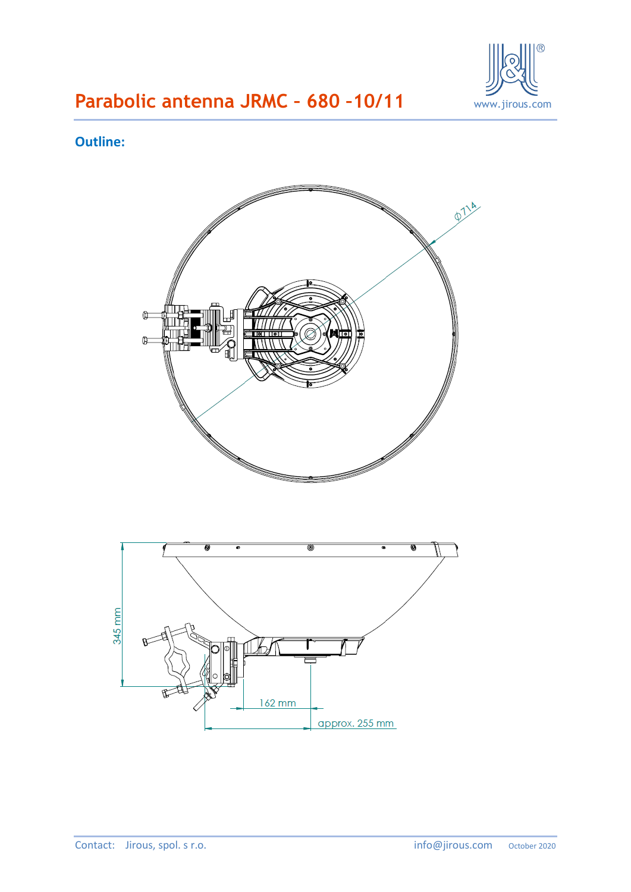

# **Parabolic antenna JRMC - 680 -10/11 WALG WARE MEDITION**

## **Outline:**